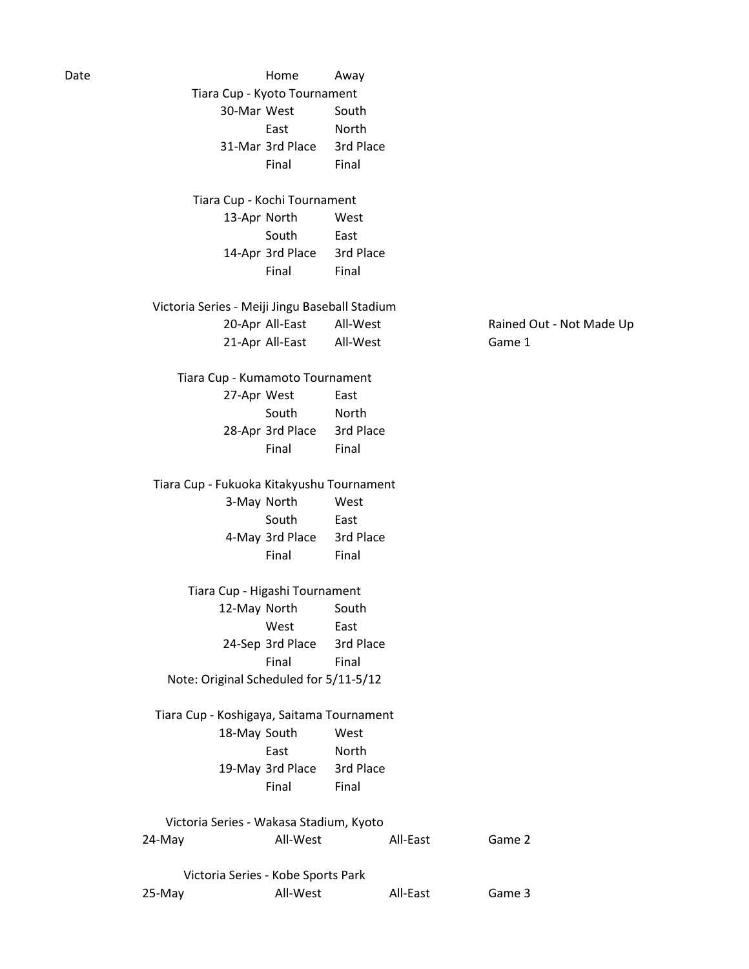Date **Date Contract Away** 30-Mar West South East North 31-Mar 3rd Place 3rd Place Final Final 13-Apr North West South East 14-Apr 3rd Place 3rd Place Final Final 20-Apr All-East All-West Rained Out - Not Made Up 21-Apr All-East All-West Game 1 27-Apr West East South North 28-Apr 3rd Place 3rd Place Final Final 3-May North West South East 4-May 3rd Place 3rd Place Final Final 12-May North South West East 24-Sep 3rd Place 3rd Place Final Final 18-May South West East North 19-May 3rd Place 3rd Place Final Final 24-May **All-West** All-Bast Game 2 25-May **All-West** All-East Game 3 Note: Original Scheduled for 5/11-5/12 Tiara Cup - Kyoto Tournament Tiara Cup - Kochi Tournament Tiara Cup - Kumamoto Tournament Tiara Cup - Fukuoka Kitakyushu Tournament Tiara Cup - Higashi Tournament Victoria Series - Meiji Jingu Baseball Stadium Victoria Series - Wakasa Stadium, Kyoto Victoria Series - Kobe Sports Park Tiara Cup - Koshigaya, Saitama Tournament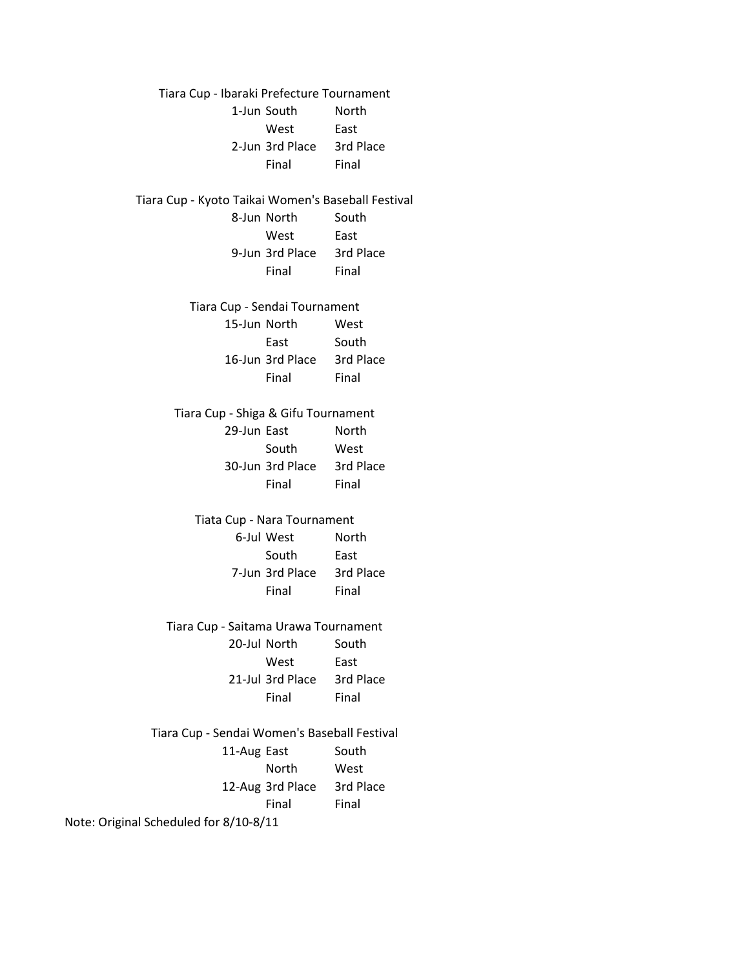1-Jun South North West East 2-Jun 3rd Place 3rd Place Final Final 8-Jun North South West East 9-Jun 3rd Place 3rd Place Final Final 15-Jun North West East South 16-Jun 3rd Place 3rd Place Final Final 29-Jun East North South West 30-Jun 3rd Place 3rd Place Final Final 6-Jul West North South East 7-Jun 3rd Place 3rd Place Final Final 20-Jul North South West East 21-Jul 3rd Place 3rd Place Final Final 11-Aug East South North West 12-Aug 3rd Place 3rd Place Final Final Note: Original Scheduled for 8/10-8/11 Tiara Cup - Saitama Urawa Tournament Tiara Cup - Sendai Women's Baseball Festival Tiara Cup - Ibaraki Prefecture Tournament Tiara Cup - Kyoto Taikai Women's Baseball Festival Tiara Cup - Sendai Tournament Tiara Cup - Shiga & Gifu Tournament Tiata Cup - Nara Tournament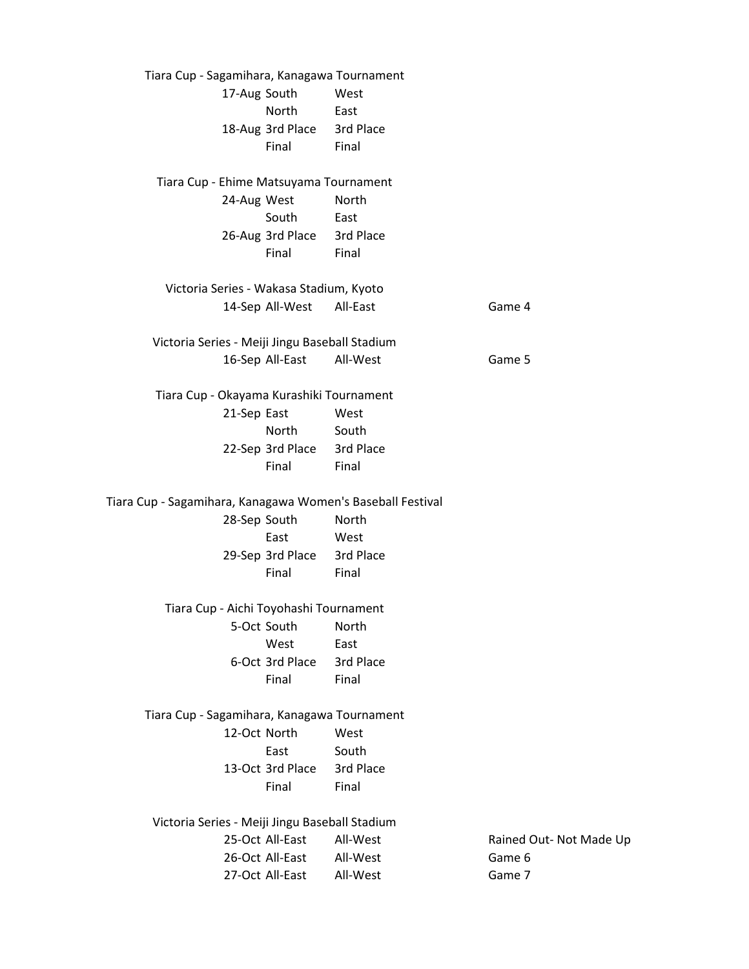17-Aug South West North East 18-Aug 3rd Place 3rd Place Final Final 24-Aug West North South East 26-Aug 3rd Place 3rd Place Final Final 14-Sep All-West All-East Game 4 16-Sep All-East All-West Game 5 21-Sep East West North South 22-Sep 3rd Place 3rd Place Final Final 28-Sep South North East West 29-Sep 3rd Place 3rd Place Final Final 5-Oct South North West East 6-Oct 3rd Place 3rd Place Final Final 12-Oct North West East South 13-Oct 3rd Place 3rd Place Final Final 25-Oct All-East All-West Rained Out- Not Made Up 26-Oct All-East All-West Game 6 27-Oct All-East All-West Game 7 Tiara Cup - Sagamihara, Kanagawa Tournament Tiara Cup - Ehime Matsuyama Tournament Tiara Cup - Okayama Kurashiki Tournament Tiara Cup - Sagamihara, Kanagawa Women's Baseball Festival Victoria Series - Wakasa Stadium, Kyoto Victoria Series - Meiji Jingu Baseball Stadium Victoria Series - Meiji Jingu Baseball Stadium Tiara Cup - Aichi Toyohashi Tournament Tiara Cup - Sagamihara, Kanagawa Tournament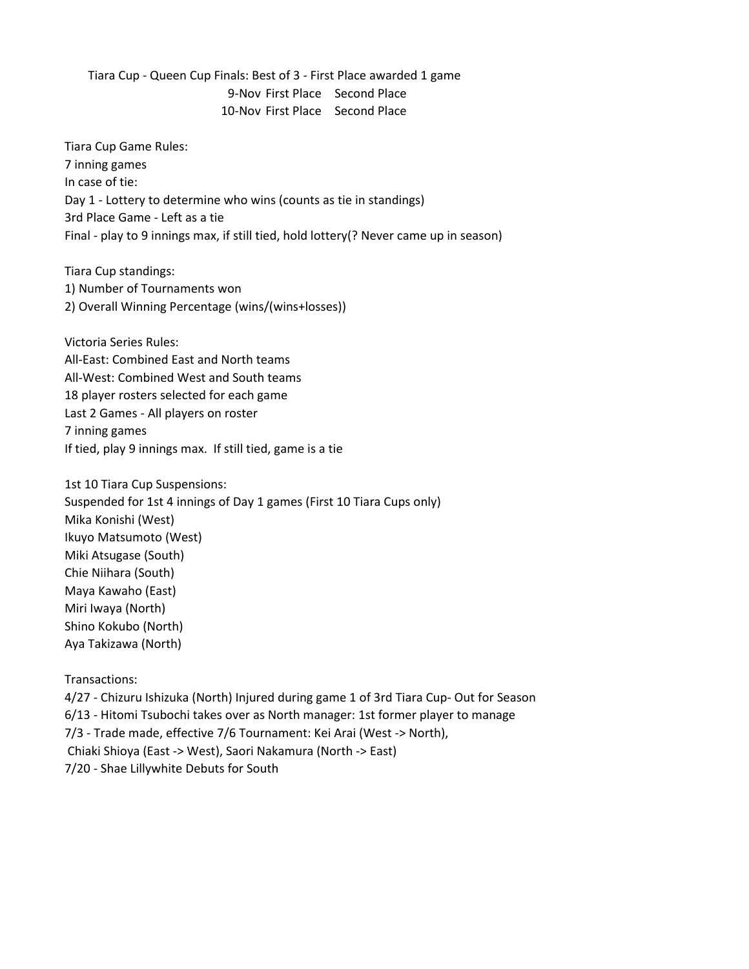9-Nov First Place Second Place 10-Nov First Place Second Place Tiara Cup - Queen Cup Finals: Best of 3 - First Place awarded 1 game

Tiara Cup Game Rules: 7 inning games In case of tie: Day 1 - Lottery to determine who wins (counts as tie in standings) 3rd Place Game - Left as a tie Final - play to 9 innings max, if still tied, hold lottery(? Never came up in season)

Tiara Cup standings: 1) Number of Tournaments won 2) Overall Winning Percentage (wins/(wins+losses))

Victoria Series Rules: All-East: Combined East and North teams All-West: Combined West and South teams 18 player rosters selected for each game Last 2 Games - All players on roster 7 inning games If tied, play 9 innings max. If still tied, game is a tie

1st 10 Tiara Cup Suspensions: Suspended for 1st 4 innings of Day 1 games (First 10 Tiara Cups only) Mika Konishi (West) Ikuyo Matsumoto (West) Miki Atsugase (South) Chie Niihara (South) Maya Kawaho (East) Miri Iwaya (North) Shino Kokubo (North) Aya Takizawa (North)

Transactions:

4/27 - Chizuru Ishizuka (North) Injured during game 1 of 3rd Tiara Cup- Out for Season 6/13 - Hitomi Tsubochi takes over as North manager: 1st former player to manage 7/3 - Trade made, effective 7/6 Tournament: Kei Arai (West -> North), Chiaki Shioya (East -> West), Saori Nakamura (North -> East) 7/20 - Shae Lillywhite Debuts for South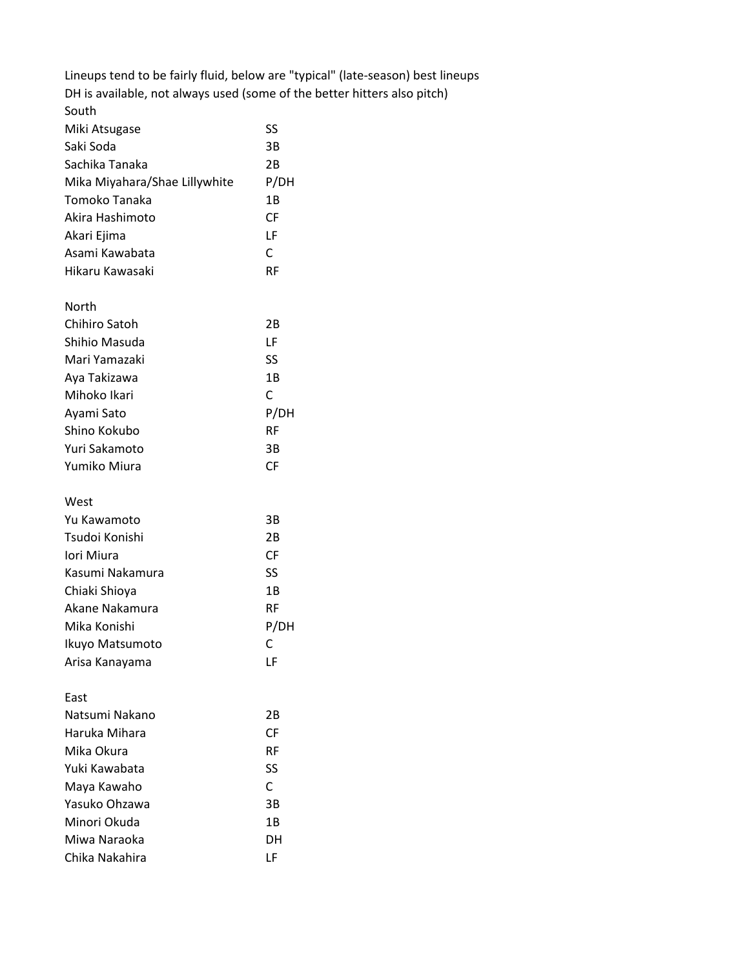|                               | Lineups tend to be fairly fluid, below are "typical" (late-season) best lineups |
|-------------------------------|---------------------------------------------------------------------------------|
|                               | DH is available, not always used (some of the better hitters also pitch)        |
| South                         |                                                                                 |
| Miki Atsugase                 | SS                                                                              |
| Saki Soda                     | 3B                                                                              |
| Sachika Tanaka                | 2B                                                                              |
| Mika Miyahara/Shae Lillywhite | P/DH                                                                            |
| Tomoko Tanaka                 | 1B                                                                              |
| Akira Hashimoto               | <b>CF</b>                                                                       |
| Akari Ejima                   | LF                                                                              |
| Asami Kawabata                | C                                                                               |
| Hikaru Kawasaki               | <b>RF</b>                                                                       |
|                               |                                                                                 |
| North                         |                                                                                 |
| Chihiro Satoh                 | 2B                                                                              |
| Shihio Masuda                 | LF                                                                              |
| Mari Yamazaki                 | SS                                                                              |
| Aya Takizawa                  | 1B                                                                              |
| Mihoko Ikari                  | C                                                                               |
| Ayami Sato                    | P/DH                                                                            |
| Shino Kokubo                  | <b>RF</b>                                                                       |
| Yuri Sakamoto                 | 3B                                                                              |
| Yumiko Miura                  | <b>CF</b>                                                                       |
|                               |                                                                                 |
| West                          |                                                                                 |
| Yu Kawamoto                   | 3B                                                                              |
| Tsudoi Konishi                | 2B                                                                              |
| Iori Miura                    | <b>CF</b>                                                                       |
| Kasumi Nakamura               | SS                                                                              |
| Chiaki Shioya                 | 1B                                                                              |
| Akane Nakamura                | <b>RF</b>                                                                       |
| Mika Konishi                  | P/DH                                                                            |
| Ikuyo Matsumoto               | C                                                                               |
| Arisa Kanayama                | LF                                                                              |
|                               |                                                                                 |
| East                          |                                                                                 |
| Natsumi Nakano                | 2B                                                                              |
| Haruka Mihara                 | <b>CF</b>                                                                       |
| Mika Okura                    | <b>RF</b>                                                                       |
| Yuki Kawabata                 | SS                                                                              |
| Maya Kawaho                   | C                                                                               |
| Yasuko Ohzawa                 | 3B                                                                              |
| Minori Okuda                  | 1B                                                                              |
| Miwa Naraoka                  | DH                                                                              |
| Chika Nakahira                | LF                                                                              |
|                               |                                                                                 |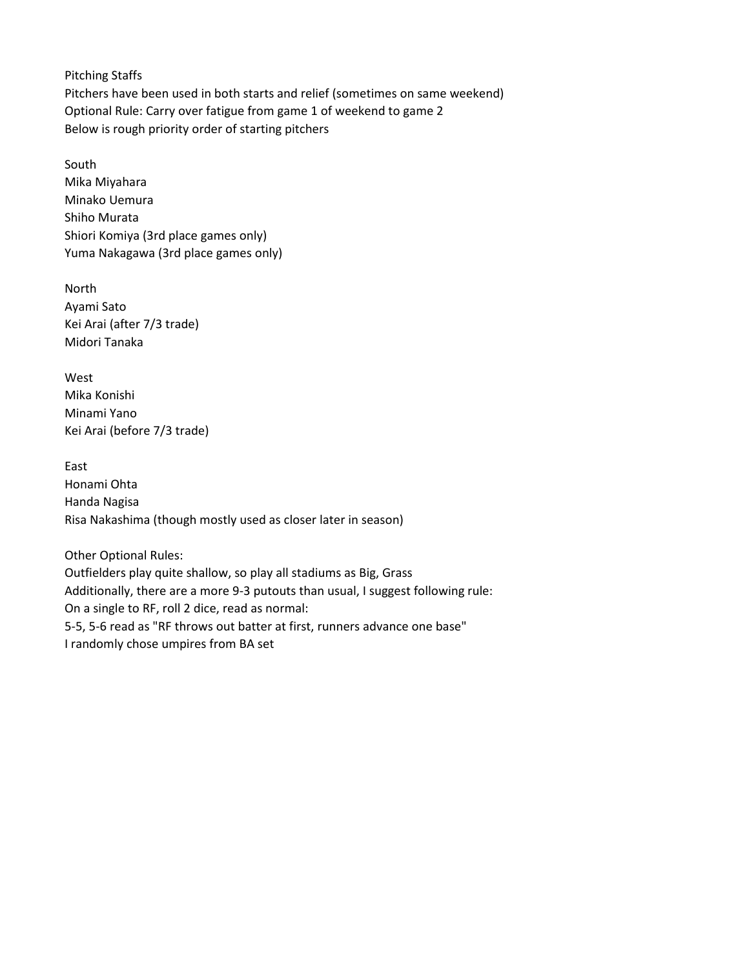Pitching Staffs Pitchers have been used in both starts and relief (sometimes on same weekend) Optional Rule: Carry over fatigue from game 1 of weekend to game 2 Below is rough priority order of starting pitchers

South Mika Miyahara Minako Uemura Shiho Murata Shiori Komiya (3rd place games only) Yuma Nakagawa (3rd place games only)

North Ayami Sato Kei Arai (after 7/3 trade) Midori Tanaka

West Mika Konishi Minami Yano Kei Arai (before 7/3 trade)

East Honami Ohta Handa Nagisa Risa Nakashima (though mostly used as closer later in season)

Other Optional Rules: Outfielders play quite shallow, so play all stadiums as Big, Grass Additionally, there are a more 9-3 putouts than usual, I suggest following rule: On a single to RF, roll 2 dice, read as normal: 5-5, 5-6 read as "RF throws out batter at first, runners advance one base" I randomly chose umpires from BA set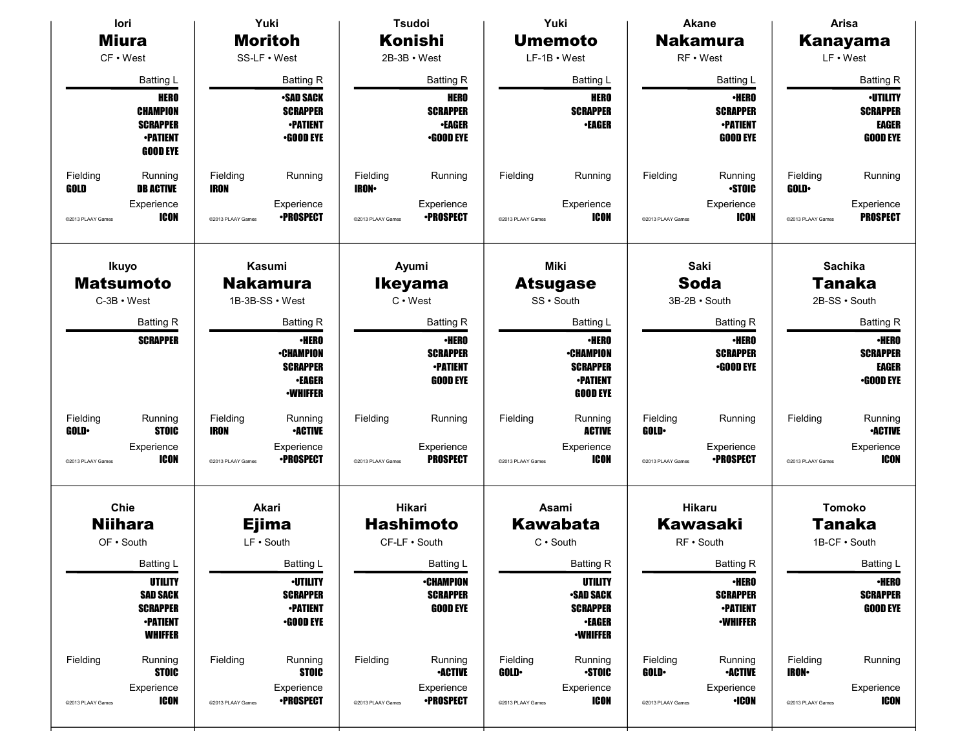| lori                                          |                                                      | Yuki                    |                                     | <b>Tsudoi</b>           |                                     | Yuki               |                                                     |                   | Akane                               | Arisa                    |                                 |  |
|-----------------------------------------------|------------------------------------------------------|-------------------------|-------------------------------------|-------------------------|-------------------------------------|--------------------|-----------------------------------------------------|-------------------|-------------------------------------|--------------------------|---------------------------------|--|
| <b>Miura</b><br>CF • West<br><b>Batting L</b> |                                                      | <b>Moritoh</b>          |                                     | <b>Konishi</b>          |                                     | <b>Umemoto</b>     |                                                     | <b>Nakamura</b>   |                                     | Kanayama                 |                                 |  |
|                                               |                                                      |                         | SS-LF • West                        | $2B-3B \cdot West$      |                                     | $LF-1B \cdot West$ |                                                     |                   | RF • West                           | LF • West                |                                 |  |
|                                               |                                                      |                         | <b>Batting R</b>                    |                         | <b>Batting R</b>                    |                    | Batting L                                           |                   | <b>Batting L</b>                    |                          | <b>Batting R</b>                |  |
| <b>HERO</b>                                   |                                                      |                         | <b>SAD SACK</b>                     |                         | <b>HERO</b>                         |                    | <b>HERO</b>                                         |                   | <b>•HERO</b>                        |                          | <b>·UTILITY</b>                 |  |
|                                               | <b>CHAMPION</b><br><b>SCRAPPER</b>                   |                         | <b>SCRAPPER</b><br><b>•PATIENT</b>  |                         | <b>SCRAPPER</b><br><b>•EAGER</b>    |                    | <b>SCRAPPER</b><br><b>•EAGER</b>                    |                   | <b>SCRAPPER</b><br><b>•PATIENT</b>  |                          | <b>SCRAPPER</b><br><b>EAGER</b> |  |
|                                               | <b>•PATIENT</b>                                      |                         | <b>•GOOD EYE</b>                    |                         | <b>•GOOD EYE</b>                    |                    |                                                     |                   | <b>GOOD EYE</b>                     |                          | <b>GOOD EYE</b>                 |  |
|                                               | <b>GOOD EYE</b>                                      |                         |                                     |                         |                                     |                    |                                                     |                   |                                     |                          |                                 |  |
| Fielding<br>GOLD                              | Running<br><b>DB ACTIVE</b>                          | Fielding<br><b>IRON</b> | Running                             | Fielding<br><b>IRON</b> | Running                             | Fielding           | Running                                             | Fielding          | Running<br><b>STOIC</b>             | Fielding<br><b>GOLD</b>  | Running                         |  |
| @2013 PLAAY Games                             | Experience<br><b>ICON</b>                            | @2013 PLAAY Games       | Experience<br><b>•PROSPECT</b>      | @2013 PLAAY Games       | Experience<br><b>•PROSPECT</b>      | @2013 PLAAY Games  | Experience<br><b>ICON</b>                           | @2013 PLAAY Games | Experience<br><b>ICON</b>           | @2013 PLAAY Games        | Experience<br><b>PROSPECT</b>   |  |
|                                               | Ikuyo                                                | Kasumi                  |                                     | Ayumi                   |                                     | Miki               |                                                     | Saki              |                                     | <b>Sachika</b>           |                                 |  |
|                                               | <b>Matsumoto</b>                                     |                         | <b>Nakamura</b>                     |                         | <b>Ikeyama</b>                      |                    | <b>Atsugase</b>                                     |                   | <b>Soda</b>                         |                          | Tanaka                          |  |
|                                               | $C-3B \cdot West$                                    | 1B-3B-SS · West         |                                     | $C \cdot$ West          |                                     | SS · South         |                                                     | 3B-2B · South     |                                     | 2B-SS · South            |                                 |  |
| <b>Batting R</b><br><b>SCRAPPER</b>           |                                                      | <b>Batting R</b>        |                                     | <b>Batting R</b>        |                                     | Batting L          |                                                     | <b>Batting R</b>  |                                     | <b>Batting R</b>         |                                 |  |
|                                               |                                                      |                         | <b>•HERO</b>                        |                         | <b>-HERO</b>                        |                    | <b>-HERO</b>                                        |                   | <b>•HERO</b>                        |                          | <b>-HERO</b>                    |  |
|                                               |                                                      |                         | <b>•CHAMPION</b><br><b>SCRAPPER</b> |                         | <b>SCRAPPER</b><br><b>-PATIENT</b>  |                    | <b>•CHAMPION</b><br><b>SCRAPPER</b>                 |                   | <b>SCRAPPER</b><br><b>•GOOD EYE</b> |                          | <b>SCRAPPER</b><br><b>EAGER</b> |  |
|                                               |                                                      |                         | <b>•EAGER</b>                       |                         | <b>GOOD EYE</b>                     |                    | <b>-PATIENT</b>                                     |                   |                                     |                          | <b>•GOOD EYE</b>                |  |
|                                               |                                                      |                         | <b><i>•WHIFFER</i></b>              |                         |                                     |                    | <b>GOOD EYE</b>                                     |                   |                                     |                          |                                 |  |
| Fielding<br><b>GOLD</b>                       | Running<br><b>STOIC</b>                              | Fielding<br><b>IRON</b> | Running<br><b>•ACTIVE</b>           | Fielding                | Running                             | Fielding           | Running<br><b>ACTIVE</b>                            | Fielding<br>GOLD· | Running                             | Fielding                 | Running<br><b>•ACTIVE</b>       |  |
| @2013 PLAAY Games                             | Experience<br><b>ICON</b>                            | @2013 PLAAY Games       | Experience<br><b>•PROSPECT</b>      | @2013 PLAAY Games       | Experience<br><b>PROSPECT</b>       | @2013 PLAAY Games  | Experience<br><b>ICON</b>                           | @2013 PLAAY Games | Experience<br><b>•PROSPECT</b>      | @2013 PLAAY Games        | Experience<br><b>ICON</b>       |  |
|                                               | Chie                                                 | Akari                   |                                     | Hikari                  |                                     | Asami              |                                                     | <b>Hikaru</b>     |                                     | <b>Tomoko</b>            |                                 |  |
|                                               | <b>Niihara</b><br><b>Ejima</b>                       |                         | <b>Hashimoto</b>                    |                         | <b>Kawabata</b>                     |                    |                                                     | <b>Kawasaki</b>   | <b>Tanaka</b>                       |                          |                                 |  |
|                                               | OF . South                                           | LF . South              |                                     | CF-LF . South           |                                     | C · South          |                                                     | RF · South        |                                     |                          | 1B-CF · South                   |  |
|                                               | Batting L                                            |                         | <b>Batting L</b>                    |                         | <b>Batting L</b>                    |                    | Batting R                                           |                   | <b>Batting R</b>                    |                          | <b>Batting L</b>                |  |
|                                               | UTILITY<br><b>SAD SACK</b>                           |                         | <b>•UTILITY</b><br><b>SCRAPPER</b>  |                         | <b>•CHAMPION</b><br><b>SCRAPPER</b> |                    | UTILITY<br><b>•SAD SACK</b>                         |                   | <b>•HERO</b><br><b>SCRAPPER</b>     |                          | <b>•HERO</b><br><b>SCRAPPER</b> |  |
|                                               | <b>SCRAPPER</b><br><b>-PATIENT</b><br><b>WHIFFER</b> |                         | <b>-PATIENT</b><br><b>•GOOD EYE</b> |                         | <b>GOOD EYE</b>                     |                    | <b>SCRAPPER</b><br><b>•EAGER</b><br><b>-WHIFFER</b> |                   | <b>•PATIENT</b><br><b>-WHIFFER</b>  |                          | <b>GOOD EYE</b>                 |  |
| Fielding                                      | Running<br><b>STOIC</b>                              | Fielding                | Running<br><b>STOIC</b>             | Fielding                | Running<br><b>-ACTIVE</b>           | Fielding<br>GOLD-  | Running<br><b>STOIC</b>                             | Fielding<br>GOLD· | Running<br><b>•ACTIVE</b>           | Fielding<br><b>IRON•</b> | Running                         |  |
| @2013 PLAAY Games                             | Experience<br><b>ICON</b>                            | @2013 PLAAY Games       | Experience<br><b>•PROSPECT</b>      | @2013 PLAAY Games       | Experience<br><b>•PROSPECT</b>      | @2013 PLAAY Games  | Experience<br><b>ICON</b>                           | @2013 PLAAY Games | Experience<br>$\cdot$ ICON          | @2013 PLAAY Games        | Experience<br><b>ICON</b>       |  |
|                                               |                                                      |                         |                                     |                         |                                     |                    |                                                     |                   |                                     |                          |                                 |  |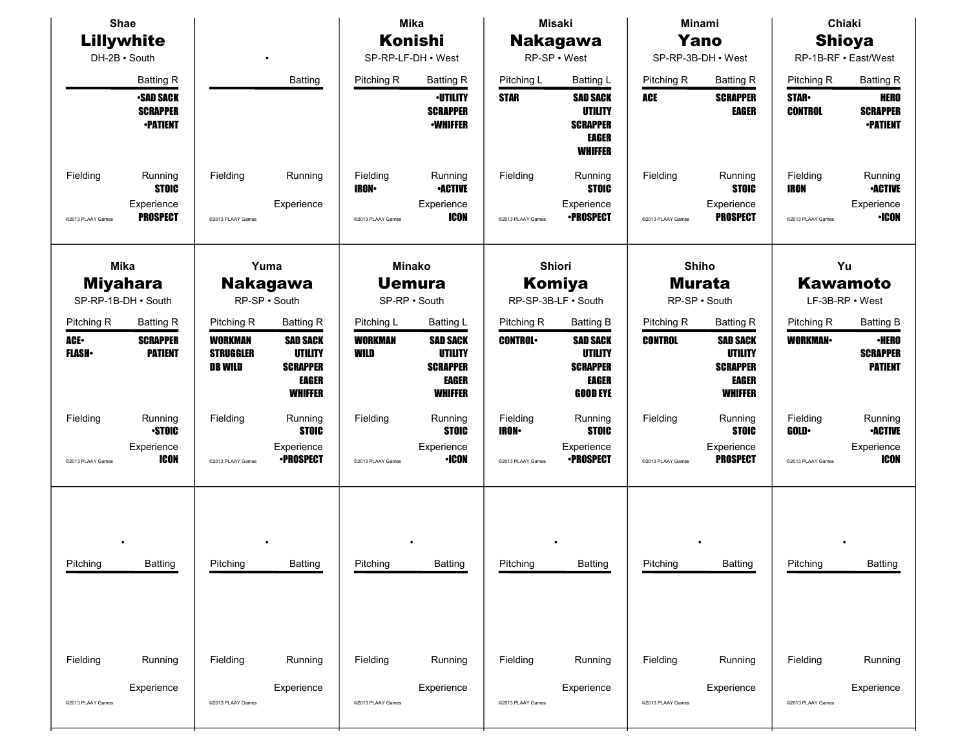| Shae<br>Lillywhite            |                                                       |                                                      |                                                                                        |                               | <b>Mika</b>                                                                            |                               | <b>Misaki</b>                                                                           |                                         | Minami                                                                          |                               | Chiaki                                            |  |
|-------------------------------|-------------------------------------------------------|------------------------------------------------------|----------------------------------------------------------------------------------------|-------------------------------|----------------------------------------------------------------------------------------|-------------------------------|-----------------------------------------------------------------------------------------|-----------------------------------------|---------------------------------------------------------------------------------|-------------------------------|---------------------------------------------------|--|
|                               |                                                       |                                                      |                                                                                        | Konishi                       |                                                                                        | <b>Nakagawa</b>               |                                                                                         | Yano                                    |                                                                                 | <b>Shioya</b>                 |                                                   |  |
|                               | DH-2B · South                                         |                                                      |                                                                                        | SP-RP-LF-DH . West            |                                                                                        | RP-SP · West                  |                                                                                         | SP-RP-3B-DH • West                      |                                                                                 | RP-1B-RF · East/West          |                                                   |  |
|                               | <b>Batting R</b>                                      |                                                      | <b>Batting</b>                                                                         | Pitching R                    | <b>Batting R</b>                                                                       | Pitching L                    | <b>Batting L</b>                                                                        | Pitching R                              | <b>Batting R</b>                                                                | Pitching R                    | <b>Batting R</b>                                  |  |
|                               | <b>SAD SACK</b><br><b>SCRAPPER</b><br><b>•PATIENT</b> |                                                      |                                                                                        |                               | <b>-UTILITY</b><br><b>SCRAPPER</b><br><b>-WHIFFER</b>                                  | <b>STAR</b>                   | <b>SAD SACK</b><br><b>UTILITY</b><br><b>SCRAPPER</b><br><b>EAGER</b><br><b>WHIFFER</b>  | ACE                                     | <b>SCRAPPER</b><br>EAGER                                                        | <b>STAR</b><br><b>CONTROL</b> | <b>HERO</b><br><b>SCRAPPER</b><br><b>-PATIENT</b> |  |
| Fielding                      | Running<br><b>STOIC</b><br>Experience                 | Fielding                                             | Running<br>Experience                                                                  | Fielding<br><b>IRON</b>       | Running<br><b>-ACTIVE</b><br>Experience                                                | Fielding                      | Running<br><b>STOIC</b><br>Experience                                                   | Fielding                                | Running<br><b>STOIC</b><br>Experience                                           | Fielding<br><b>IRON</b>       | Running<br><b>-ACTIVE</b><br>Experience           |  |
| @2013 PLAAY Games             | <b>PROSPECT</b>                                       | @2013 PLAAY Games                                    |                                                                                        | @2013 PLAAY Games             | <b>ICON</b>                                                                            | @2013 PLAAY Games             | <b>•PROSPECT</b>                                                                        | @2013 PLAAY Games                       | <b>PROSPECT</b>                                                                 | @2013 PLAAY Games             | <b>·ICON</b>                                      |  |
|                               | <b>Mika</b><br><b>Miyahara</b><br>SP-RP-1B-DH · South |                                                      | Yuma<br><b>Nakagawa</b><br>RP-SP · South                                               |                               | <b>Minako</b><br><b>Uemura</b><br>SP-RP · South                                        |                               | Shiori<br>Komiya<br>RP-SP-3B-LF . South                                                 | Shiho<br><b>Murata</b><br>RP-SP · South |                                                                                 |                               | Yu<br><b>Kawamoto</b><br>LF-3B-RP . West          |  |
| Pitching R                    | <b>Batting R</b>                                      | Pitching R                                           | <b>Batting R</b>                                                                       | Pitching L                    | <b>Batting L</b>                                                                       | Pitching R                    | <b>Batting B</b>                                                                        | Pitching R                              | <b>Batting R</b>                                                                | Pitching R                    | <b>Batting B</b>                                  |  |
| ACE.<br><b>FLASH</b>          | <b>SCRAPPER</b><br><b>PATIENT</b>                     | <b>WORKMAN</b><br><b>STRUGGLER</b><br><b>DB WILD</b> | <b>SAD SACK</b><br><b>UTILITY</b><br><b>SCRAPPER</b><br><b>EAGER</b><br><b>WHIFFER</b> | <b>WORKMAN</b><br>WILD        | <b>SAD SACK</b><br><b>UTILITY</b><br><b>SCRAPPER</b><br><b>EAGER</b><br><b>WHIFFER</b> | <b>CONTROL</b>                | <b>SAD SACK</b><br><b>UTILITY</b><br><b>SCRAPPER</b><br><b>EAGER</b><br><b>GOOD EYE</b> | <b>CONTROL</b>                          | <b>SAD SACK</b><br><b>UTILITY</b><br><b>SCRAPPER</b><br>EAGER<br><b>WHIFFER</b> | <b>WORKMAN</b>                | <b>·HERO</b><br><b>SCRAPPER</b><br><b>PATIENT</b> |  |
| Fielding                      | Running<br><b>STOIC</b><br>Experience                 | Fielding                                             | Running<br><b>STOIC</b><br>Experience                                                  | Fielding                      | Running<br><b>STOIC</b><br>Experience                                                  | Fielding<br><b>IRON-</b>      | Running<br><b>STOIC</b><br>Experience                                                   | Fielding                                | Running<br><b>STOIC</b><br>Experience                                           | Fielding<br><b>GOLD</b>       | Running<br><b>-ACTIVE</b><br>Experience           |  |
| @2013 PLAAY Games             | <b>ICON</b>                                           | @2013 PLAAY Games                                    | <b>•PROSPECT</b>                                                                       | @2013 PLAAY Games             | <b>·ICON</b>                                                                           | @2013 PLAAY Games             | <b>•PROSPECT</b>                                                                        | @2013 PLAAY Games                       | <b>PROSPECT</b>                                                                 | @2013 PLAAY Games             | <b>ICON</b>                                       |  |
| Pitching                      | <b>Batting</b>                                        | Pitching                                             | <b>Batting</b>                                                                         | Pitching                      | <b>Batting</b>                                                                         | Pitching                      | <b>Batting</b>                                                                          | Pitching                                | <b>Batting</b>                                                                  | Pitching                      | <b>Batting</b>                                    |  |
| Fielding<br>@2013 PLAAY Games | Running<br>Experience                                 | Fielding<br>@2013 PLAAY Games                        | Running<br>Experience                                                                  | Fielding<br>@2013 PLAAY Games | Running<br>Experience                                                                  | Fielding<br>@2013 PLAAY Games | Running<br>Experience                                                                   | Fielding<br>@2013 PLAAY Games           | Running<br>Experience                                                           | Fielding<br>@2013 PLAAY Games | Running<br>Experience                             |  |
|                               |                                                       |                                                      |                                                                                        |                               |                                                                                        |                               |                                                                                         |                                         |                                                                                 |                               |                                                   |  |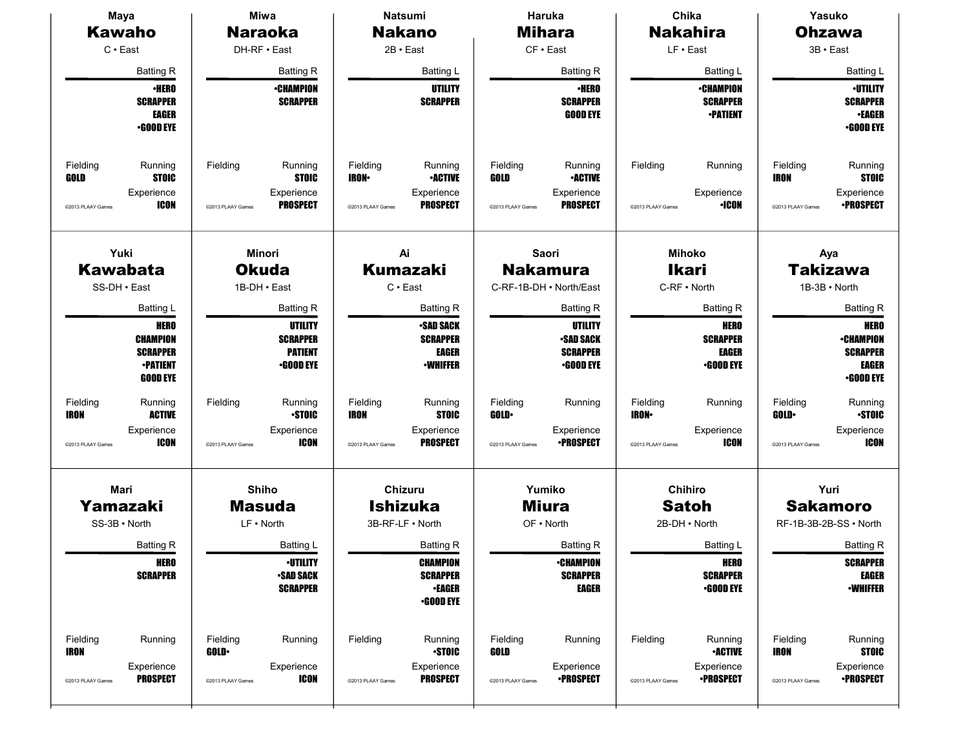| <b>Maya</b>                                                                                           | <b>Miwa</b>                                                                               | <b>Natsumi</b>                                                                                              | Haruka                                                                                              | Chika                                                                                 | Yasuko<br><b>Ohzawa</b><br>3B · East                                                                       |  |
|-------------------------------------------------------------------------------------------------------|-------------------------------------------------------------------------------------------|-------------------------------------------------------------------------------------------------------------|-----------------------------------------------------------------------------------------------------|---------------------------------------------------------------------------------------|------------------------------------------------------------------------------------------------------------|--|
| <b>Kawaho</b><br>$C \cdot$ East                                                                       | <b>Naraoka</b><br>DH-RF · East                                                            | <b>Nakano</b><br>$2B \cdot East$                                                                            | <b>Mihara</b><br>$CF \cdot East$                                                                    | <b>Nakahira</b><br>LF · East                                                          |                                                                                                            |  |
|                                                                                                       |                                                                                           |                                                                                                             |                                                                                                     |                                                                                       |                                                                                                            |  |
| <b>Batting R</b><br><b>·HERO</b><br><b>SCRAPPER</b><br><b>EAGER</b><br><b>-GOOD EYE</b>               | <b>Batting R</b><br><b>•CHAMPION</b><br><b>SCRAPPER</b>                                   | <b>Batting L</b><br>UTILITY<br><b>SCRAPPER</b>                                                              | <b>Batting R</b><br><b>•HERO</b><br><b>SCRAPPER</b><br><b>GOOD EYE</b>                              | <b>Batting L</b><br><b>•CHAMPION</b><br><b>SCRAPPER</b><br><b>•PATIENT</b>            | Batting L<br><b>-UTILITY</b><br><b>SCRAPPER</b><br><b>-EAGER</b><br>$-$ GOOD EYE                           |  |
| Fielding<br>Running<br><b>STOIC</b><br>GOLD<br>Experience<br><b>ICON</b><br>@2013 PLAAY Games         | Fielding<br>Running<br><b>STOIC</b><br>Experience<br><b>PROSPECT</b><br>@2013 PLAAY Games | Fielding<br>Running<br><b>IRON-</b><br><b>•ACTIVE</b><br>Experience<br><b>PROSPECT</b><br>@2013 PLAAY Games | Fielding<br>Running<br>GOLD<br><b>•ACTIVE</b><br>Experience<br><b>PROSPECT</b><br>@2013 PLAAY Games | Fielding<br>Running<br>Experience<br>$\cdot$ ICON<br>@2013 PLAAY Games                | Fielding<br>Running<br><b>IRON</b><br><b>STOIC</b><br>Experience<br><b>•PROSPECT</b><br>@2013 PLAAY Games  |  |
| Yuki<br><b>Kawabata</b><br>SS-DH · East                                                               | Minori<br><b>Okuda</b><br>1B-DH · East                                                    | Ai<br><b>Kumazaki</b><br>$C \cdot$ East                                                                     | Saori<br><b>Nakamura</b><br>C-RF-1B-DH . North/East                                                 | <b>Mihoko</b><br><b>Ikari</b><br>C-RF . North                                         | Aya<br>Takizawa<br>1B-3B · North                                                                           |  |
| Batting L<br><b>HERO</b><br><b>CHAMPION</b><br><b>SCRAPPER</b><br><b>-PATIENT</b><br><b>GOOD EYE</b>  | Batting R<br>UTILITY<br><b>SCRAPPER</b><br><b>PATIENT</b><br><b>•GOOD EYE</b>             | <b>Batting R</b><br>•SAD SACK<br><b>SCRAPPER</b><br><b>EAGER</b><br><b>-WHIFFER</b>                         | <b>Batting R</b><br>UTILITY<br><b>-SAD SACK</b><br><b>SCRAPPER</b><br><b>•GOOD EYE</b>              | <b>Batting R</b><br><b>HERO</b><br><b>SCRAPPER</b><br>EAGER<br><b>.GOOD EYE</b>       | <b>Batting R</b><br><b>HERO</b><br><b>•CHAMPION</b><br><b>SCRAPPER</b><br><b>EAGER</b><br><b>•GOOD EYE</b> |  |
| Fielding<br>Running<br><b>ACTIVE</b><br><b>IRON</b><br>Experience<br><b>ICON</b><br>@2013 PLAAY Games | Fielding<br>Running<br><b>STOIC</b><br>Experience<br><b>ICON</b><br>@2013 PLAAY Games     | Fielding<br>Running<br><b>IRON</b><br><b>STOIC</b><br>Experience<br><b>PROSPECT</b><br>@2013 PLAAY Games    | Fielding<br>Running<br>GOLD-<br>Experience<br><b>•PROSPECT</b><br>@2013 PLAAY Games                 | Fielding<br>Running<br><b>IRON-</b><br>Experience<br><b>ICON</b><br>@2013 PLAAY Games | Fielding<br>Running<br><b>STOIC</b><br><b>GOLD</b><br>Experience<br><b>ICON</b><br>©2013 PLAAY Games       |  |
| Mari<br>Yamazaki<br>SS-3B · North<br><b>Batting R</b>                                                 | Shiho<br><b>Masuda</b><br>LF . North<br><b>Batting L</b>                                  | Chizuru<br><b>Ishizuka</b><br>3B-RF-LF . North<br><b>Batting R</b>                                          | Yumiko<br><b>Miura</b><br>$OF \cdot North$<br><b>Batting R</b>                                      | Chihiro<br><b>Satoh</b><br>2B-DH • North<br><b>Batting L</b>                          | Yuri<br><b>Sakamoro</b><br>RF-1B-3B-2B-SS · North<br><b>Batting R</b>                                      |  |
| <b>HERO</b><br><b>SCRAPPER</b>                                                                        | <b>-UTILITY</b><br><b>-SAD SACK</b><br><b>SCRAPPER</b>                                    | <b>CHAMPION</b><br><b>SCRAPPER</b><br><b>-EAGER</b><br>$-$ GOOD EYE                                         | <b>•CHAMPION</b><br><b>SCRAPPER</b><br><b>EAGER</b>                                                 | <b>HERO</b><br><b>SCRAPPER</b><br><b>•GOOD EYE</b>                                    | <b>SCRAPPER</b><br><b>EAGER</b><br><b>-WHIFFER</b>                                                         |  |
| Fielding<br>Running<br><b>IRON</b><br>Experience                                                      | Fielding<br>Running<br>GOLD-<br>Experience                                                | Fielding<br>Running<br><b>-STOIC</b><br>Experience                                                          | Fielding<br>Running<br>GOLD<br>Experience                                                           | Fielding<br>Running<br><b>-ACTIVE</b><br>Experience                                   | Fielding<br>Running<br><b>IRON</b><br><b>STOIC</b><br>Experience                                           |  |
| <b>PROSPECT</b><br>@2013 PLAAY Games                                                                  | <b>ICON</b><br>@2013 PLAAY Games                                                          | <b>PROSPECT</b><br>@2013 PLAAY Games                                                                        | <b>•PROSPECT</b><br>@2013 PLAAY Games                                                               | <b>•PROSPECT</b><br>@2013 PLAAY Games                                                 | <b>•PROSPECT</b><br>@2013 PLAAY Games                                                                      |  |